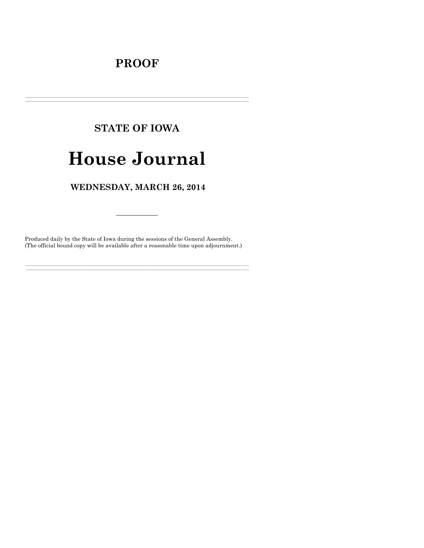# **PROOF**

# **STATE OF IOWA**

# **House Journal**

# WEDNESDAY, MARCH 26, 2014

Produced daily by the State of Iowa during the sessions of the General Assembly. (The official bound copy will be available after a reasonable time upon adjournment.)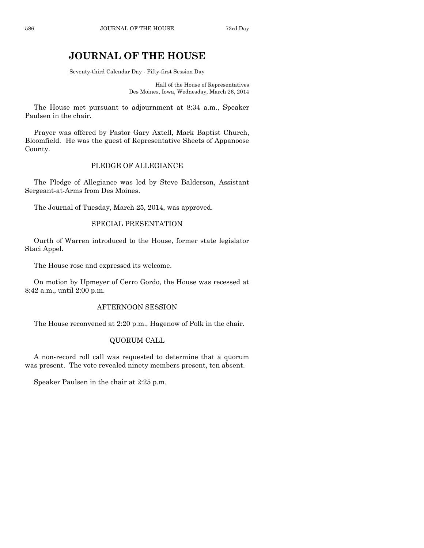# **JOURNAL OF THE HOUSE**

Seventy-third Calendar Day - Fifty-first Session Day

Hall of the House of Representatives Des Moines, Iowa, Wednesday, March 26, 2014

The House met pursuant to adjournment at 8:34 a.m., Speaker Paulsen in the chair.

Prayer was offered by Pastor Gary Axtell, Mark Baptist Church, Bloomfield. He was the guest of Representative Sheets of Appanoose County.

# PLEDGE OF ALLEGIANCE

The Pledge of Allegiance was led by Steve Balderson, Assistant Sergeant-at-Arms from Des Moines.

The Journal of Tuesday, March 25, 2014, was approved.

# SPECIAL PRESENTATION

Ourth of Warren introduced to the House, former state legislator Staci Appel.

The House rose and expressed its welcome.

On motion by Upmeyer of Cerro Gordo, the House was recessed at 8:42 a.m., until 2:00 p.m.

# AFTERNOON SESSION

The House reconvened at 2:20 p.m., Hagenow of Polk in the chair.

# QUORUM CALL

A non-record roll call was requested to determine that a quorum was present. The vote revealed ninety members present, ten absent.

Speaker Paulsen in the chair at 2:25 p.m.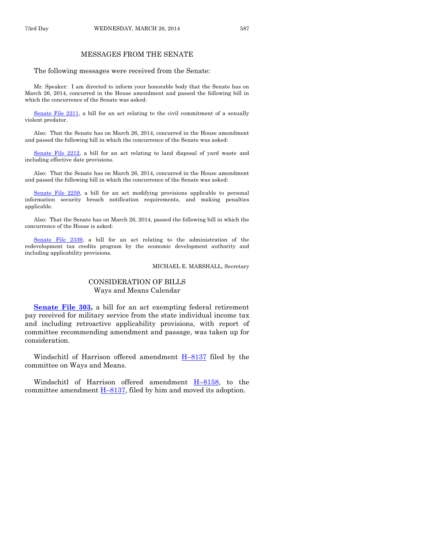# MESSAGES FROM THE SENATE

#### The following messages were received from the Senate:

Mr. Speaker: I am directed to inform your honorable body that the Senate has on March 26, 2014, concurred in the House amendment and passed the following bill in which the concurrence of the Senate was asked:

[Senate File 2211,](http://coolice.legis.iowa.gov/Cool-ICE/default.asp?Category=billinfo&Service=Billbook&frame=1&GA=85&hbill=SF2211) a bill for an act relating to the civil commitment of a sexually violent predator.

Also: That the Senate has on March 26, 2014, concurred in the House amendment and passed the following bill in which the concurrence of the Senate was asked:

[Senate File 2212,](http://coolice.legis.iowa.gov/Cool-ICE/default.asp?Category=billinfo&Service=Billbook&frame=1&GA=85&hbill=SF2212) a bill for an act relating to land disposal of yard waste and including effective date provisions.

Also: That the Senate has on March 26, 2014, concurred in the House amendment and passed the following bill in which the concurrence of the Senate was asked:

[Senate File 2259,](http://coolice.legis.iowa.gov/Cool-ICE/default.asp?Category=billinfo&Service=Billbook&frame=1&GA=85&hbill=SF2259) a bill for an act modifying provisions applicable to personal information security breach notification requirements, and making penalties applicable.

Also: That the Senate has on March 26, 2014, passed the following bill in which the concurrence of the House is asked:

[Senate File 2339,](http://coolice.legis.iowa.gov/Cool-ICE/default.asp?Category=billinfo&Service=Billbook&frame=1&GA=85&hbill=SF2339) a bill for an act relating to the administration of the redevelopment tax credits program by the economic development authority and including applicability provisions.

MICHAEL E. MARSHALL, Secretary

#### CONSIDERATION OF BILLS Ways and Means Calendar

**[Senate File 303,](http://coolice.legis.iowa.gov/Cool-ICE/default.asp?Category=billinfo&Service=Billbook&frame=1&GA=85&hbill=SF303)** a bill for an act exempting federal retirement pay received for military service from the state individual income tax and including retroactive applicability provisions, with report of committee recommending amendment and passage, was taken up for consideration.

Windschitl of Harrison offered amendment  $H-8137$  $H-8137$  filed by the committee on Ways and Means.

Windschitl of Harrison offered amendment H–[8158,](http://coolice.legis.iowa.gov/Cool-ICE/default.asp?Category=billinfo&Service=Billbook&frame=1&GA=85&hbill=H8158) to the committee amendment H–[8137,](http://coolice.legis.iowa.gov/Cool-ICE/default.asp?Category=billinfo&Service=Billbook&frame=1&GA=85&hbill=H8137) filed by him and moved its adoption.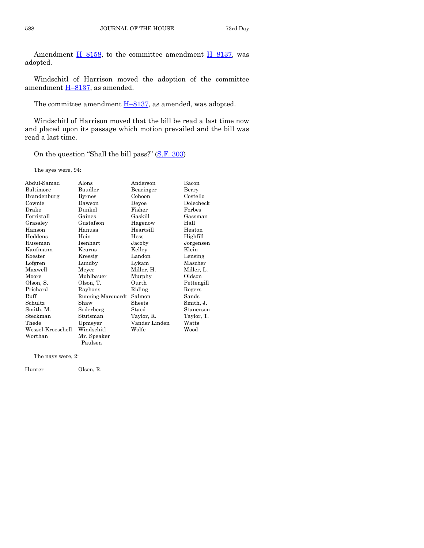Amendment  $H-8158$ , to the committee amendment  $H-8137$ , was adopted.

Windschitl of Harrison moved the adoption of the committee amendment H–[8137,](http://coolice.legis.iowa.gov/Cool-ICE/default.asp?Category=billinfo&Service=Billbook&frame=1&GA=85&hbill=H8137) as amended.

The committee amendment  $\underline{H-8137}$ , as amended, was adopted.

Windschitl of Harrison moved that the bill be read a last time now and placed upon its passage which motion prevailed and the bill was read a last time.

On the question "Shall the bill pass?" (S.F. [303\)](http://coolice.legis.iowa.gov/Cool-ICE/default.asp?Category=billinfo&Service=Billbook&frame=1&GA=85&hbill=SF303)

The ayes were, 94:

| Abdul-Samad       | Alons             | Anderson      | Bacon      |
|-------------------|-------------------|---------------|------------|
| Baltimore         | Baudler           | Bearinger     | Berry      |
| Brandenburg       | Byrnes            | Cohoon        | Costello   |
| Cownie            | Dawson            | Deyoe         | Dolecheck  |
| Drake             | Dunkel            | Fisher        | Forbes     |
| Forristall        | Gaines            | Gaskill       | Gassman    |
| Grassley          | Gustafson         | Hagenow       | Hall       |
| Hanson            | Hanusa            | Heartsill     | Heaton     |
| Heddens           | Hein              | Hess          | Highfill   |
| Huseman           | Isenhart          | Jacoby        | Jorgensen  |
| Kaufmann          | Kearns            | Kelley        | Klein      |
| Koester           | Kressig           | Landon        | Lensing    |
| Lofgren           | Lundby            | Lykam         | Mascher    |
| Maxwell           | Meyer             | Miller, H.    | Miller, L. |
| Moore             | Muhlbauer         | Murphy        | Oldson     |
| Olson, S.         | Olson, T.         | Ourth         | Pettengill |
| Prichard          | Rayhons           | Riding        | Rogers     |
| Ruff              | Running-Marquardt | Salmon        | Sands      |
| Schultz           | Shaw              | Sheets        | Smith, J.  |
| Smith, M.         | Soderberg         | Staed         | Stanerson  |
| Steckman          | Stutsman          | Taylor, R.    | Taylor, T. |
| Thede             | Upmeyer           | Vander Linden | Watts      |
| Wessel-Kroeschell | Windschitl        | Wolfe         | Wood       |
| Worthan           | Mr. Speaker       |               |            |
|                   | Paulsen           |               |            |

The nays were, 2:

Hunter Olson, R.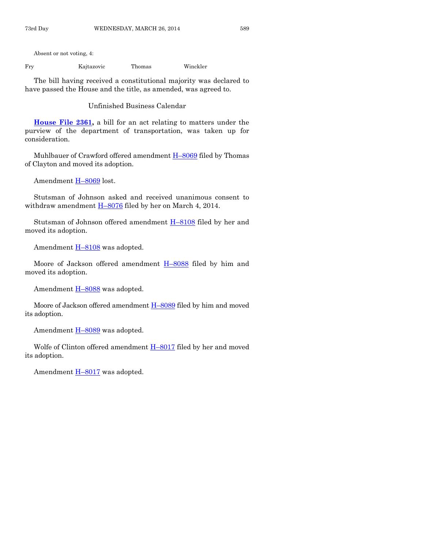Absent or not voting, 4:

Fry Kajtazovic Thomas Winckler

The bill having received a constitutional majority was declared to have passed the House and the title, as amended, was agreed to.

Unfinished Business Calendar

**[House File 2361,](http://coolice.legis.iowa.gov/Cool-ICE/default.asp?Category=billinfo&Service=Billbook&frame=1&GA=85&hbill=HF2361)** a bill for an act relating to matters under the purview of the department of transportation, was taken up for consideration.

Muhlbauer of Crawford offered amendment  $H-8069$  $H-8069$  filed by Thomas of Clayton and moved its adoption.

Amendment H–[8069](http://coolice.legis.iowa.gov/Cool-ICE/default.asp?Category=billinfo&Service=Billbook&frame=1&GA=85&hbill=H8069) lost.

Stutsman of Johnson asked and received unanimous consent to withdraw amendment  $H=8076$  $H=8076$  filed by her on March 4, 2014.

Stutsman of Johnson offered amendment  $H-8108$  $H-8108$  filed by her and moved its adoption.

Amendment  $H-8108$  $H-8108$  was adopted.

Moore of Jackson offered amendment H-[8088](http://coolice.legis.iowa.gov/Cool-ICE/default.asp?Category=billinfo&Service=Billbook&frame=1&GA=85&hbill=H8088) filed by him and moved its adoption.

Amendment H-[8088](http://coolice.legis.iowa.gov/Cool-ICE/default.asp?Category=billinfo&Service=Billbook&frame=1&GA=85&hbill=H8088) was adopted.

Moore of Jackson offered amendment H–[8089](http://coolice.legis.iowa.gov/Cool-ICE/default.asp?Category=billinfo&Service=Billbook&frame=1&GA=85&hbill=H8089) filed by him and moved its adoption.

Amendment H-[8089](http://coolice.legis.iowa.gov/Cool-ICE/default.asp?Category=billinfo&Service=Billbook&frame=1&GA=85&hbill=H8089) was adopted.

Wolfe of Clinton offered amendment H–[8017](http://coolice.legis.iowa.gov/Cool-ICE/default.asp?Category=billinfo&Service=Billbook&frame=1&GA=85&hbill=H8017) filed by her and moved its adoption.

Amendment **H**–[8017](http://coolice.legis.iowa.gov/Cool-ICE/default.asp?Category=billinfo&Service=Billbook&frame=1&GA=85&hbill=H8017) was adopted.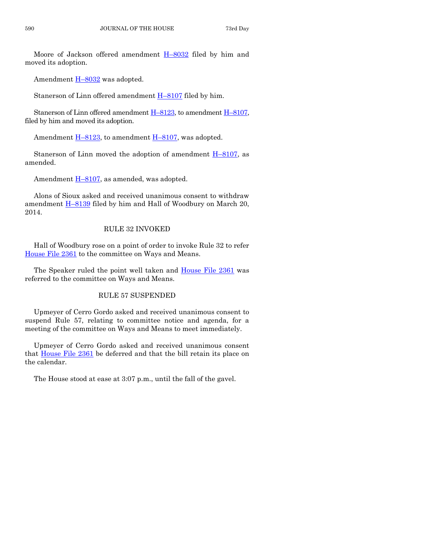Moore of Jackson offered amendment H–[8032](http://coolice.legis.iowa.gov/Cool-ICE/default.asp?Category=billinfo&Service=Billbook&frame=1&GA=85&hbill=H8032) filed by him and moved its adoption.

Amendment H-[8032](http://coolice.legis.iowa.gov/Cool-ICE/default.asp?Category=billinfo&Service=Billbook&frame=1&GA=85&hbill=H8032) was adopted.

Stanerson of Linn offered amendment H–[8107](http://coolice.legis.iowa.gov/Cool-ICE/default.asp?Category=billinfo&Service=Billbook&frame=1&GA=85&hbill=H8107) filed by him.

Stanerson of Linn offered amendment  $H-8123$ , to amendment  $H-8107$ , filed by him and moved its adoption.

Amendment  $H-8123$ , to amendment  $H-8107$ , was adopted.

Stanerson of Linn moved the adoption of amendment  $H-8107$ , as amended.

Amendment  $\underline{H-8107}$ , as amended, was adopted.

Alons of Sioux asked and received unanimous consent to withdraw amendment **H-[8139](http://coolice.legis.iowa.gov/Cool-ICE/default.asp?Category=billinfo&Service=Billbook&frame=1&GA=85&hbill=H8139)** filed by him and Hall of Woodbury on March 20, 2014.

# RULE 32 INVOKED

Hall of Woodbury rose on a point of order to invoke Rule 32 to refer [House File 2361](http://coolice.legis.iowa.gov/Cool-ICE/default.asp?Category=billinfo&Service=Billbook&frame=1&GA=85&hbill=HF2361) to the committee on Ways and Means.

The Speaker ruled the point well taken and [House File 2361](http://coolice.legis.iowa.gov/Cool-ICE/default.asp?Category=billinfo&Service=Billbook&frame=1&GA=85&hbill=HF2361) was referred to the committee on Ways and Means.

# RULE 57 SUSPENDED

Upmeyer of Cerro Gordo asked and received unanimous consent to suspend Rule 57, relating to committee notice and agenda, for a meeting of the committee on Ways and Means to meet immediately.

Upmeyer of Cerro Gordo asked and received unanimous consent that [House File](http://coolice.legis.iowa.gov/Cool-ICE/default.asp?Category=billinfo&Service=Billbook&frame=1&GA=85&hbill=HF2361) 2361 be deferred and that the bill retain its place on the calendar.

The House stood at ease at 3:07 p.m., until the fall of the gavel.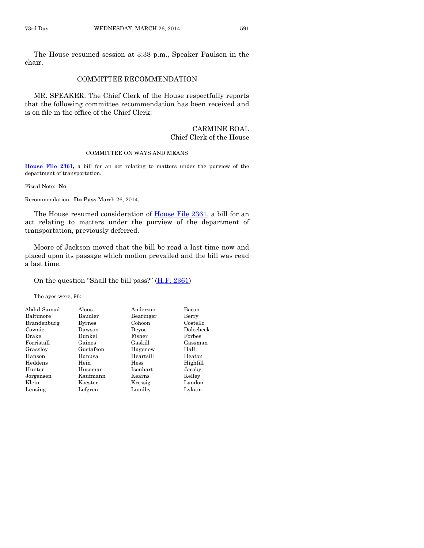The House resumed session at 3:38 p.m., Speaker Paulsen in the chair.

#### COMMITTEE RECOMMENDATION

MR. SPEAKER: The Chief Clerk of the House respectfully reports that the following committee recommendation has been received and is on file in the office of the Chief Clerk:

#### CARMINE BOAL Chief Clerk of the House

#### COMMITTEE ON WAYS AND MEANS

**[House File 2361,](http://coolice.legis.iowa.gov/Cool-ICE/default.asp?Category=billinfo&Service=Billbook&frame=1&GA=85&hbill=HF2361)** a bill for an act relating to matters under the purview of the department of transportation.

Fiscal Note: **No**

Recommendation: **Do Pass** March 26, 2014.

The House resumed consideration of [House File 2361,](http://coolice.legis.iowa.gov/Cool-ICE/default.asp?Category=billinfo&Service=Billbook&frame=1&GA=85&hbill=HF2361) a bill for an act relating to matters under the purview of the department of transportation, previously deferred.

Moore of Jackson moved that the bill be read a last time now and placed upon its passage which motion prevailed and the bill was read a last time.

#### On the question "Shall the bill pass?" [\(H.F. 2361\)](http://coolice.legis.iowa.gov/Cool-ICE/default.asp?Category=billinfo&Service=Billbook&frame=1&GA=85&hbill=HF2361)

The ayes were, 96:

| Abdul-Samad | Alons     | Anderson  | Bacon     |
|-------------|-----------|-----------|-----------|
| Baltimore   | Baudler   | Bearinger | Berry     |
| Brandenburg | Byrnes    | Cohoon    | Costello  |
| Cownie      | Dawson    | Devoe     | Dolecheck |
| Drake       | Dunkel    | Fisher    | Forbes    |
| Forristall  | Gaines    | Gaskill   | Gassman   |
| Grassley    | Gustafson | Hagenow   | Hall      |
| Hanson      | Hanusa    | Heartsill | Heaton    |
| Heddens     | Hein      | Hess      | Highfill  |
| Hunter      | Huseman   | Isenhart  | Jacoby    |
| Jorgensen   | Kaufmann  | Kearns    | Kelley    |
| Klein       | Koester   | Kressig   | Landon    |
| Lensing     | Lofgren   | Lundby    | Lykam     |
|             |           |           |           |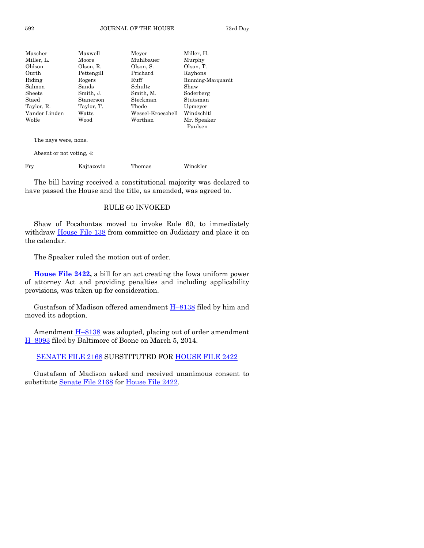| Mascher       | Maxwell    | Meyer             | Miller, H.        |
|---------------|------------|-------------------|-------------------|
| Miller, L.    | Moore      | Muhlbauer         | Murphy            |
| Oldson        | Olson, R.  | Olson, S.         | Olson, T.         |
| Ourth         | Pettengill | Prichard          | Rayhons           |
| Riding        | Rogers     | Ruff              | Running-Marquardt |
| Salmon        | Sands      | Schultz           | Shaw              |
| Sheets        | Smith, J.  | Smith, M.         | Soderberg         |
| Staed         | Stanerson  | Steckman          | Stutsman          |
| Taylor, R.    | Taylor, T. | Thede             | Upmeyer           |
| Vander Linden | Watts      | Wessel-Kroeschell | Windschitl        |
| Wolfe         | Wood       | Worthan           | Mr. Speaker       |
|               |            |                   | Paulsen           |
|               |            |                   |                   |

The nays were, none.

Absent or not voting, 4:

Fry Kajtazovic Thomas Winckler

The bill having received a constitutional majority was declared to have passed the House and the title, as amended, was agreed to.

#### RULE 60 INVOKED

Shaw of Pocahontas moved to invoke Rule 60, to immediately withdraw [House File 138](http://coolice.legis.iowa.gov/Cool-ICE/default.asp?Category=billinfo&Service=Billbook&frame=1&GA=85&hbill=HF138) from committee on Judiciary and place it on the calendar.

The Speaker ruled the motion out of order.

**[House File 2422,](http://coolice.legis.iowa.gov/Cool-ICE/default.asp?Category=billinfo&Service=Billbook&frame=1&GA=85&hbill=HF2422)** a bill for an act creating the Iowa uniform power of attorney Act and providing penalties and including applicability provisions, was taken up for consideration.

Gustafson of Madison offered amendment  $H-8138$  $H-8138$  filed by him and moved its adoption.

Amendment  $\underline{H-8138}$  $\underline{H-8138}$  $\underline{H-8138}$  was adopted, placing out of order amendment H–[8093](http://coolice.legis.iowa.gov/Cool-ICE/default.asp?Category=billinfo&Service=Billbook&frame=1&GA=85&hbill=H8093) filed by Baltimore of Boone on March 5, 2014.

### [SENATE FILE 2168](http://coolice.legis.iowa.gov/Cool-ICE/default.asp?Category=billinfo&Service=Billbook&frame=1&GA=85&hbill=SF2168) SUBSTITUTED FOR [HOUSE FILE 2422](http://coolice.legis.iowa.gov/Cool-ICE/default.asp?Category=billinfo&Service=Billbook&frame=1&GA=85&hbill=HF2422)

Gustafson of Madison asked and received unanimous consent to substitute [Senate File 2168](http://coolice.legis.iowa.gov/Cool-ICE/default.asp?Category=billinfo&Service=Billbook&frame=1&GA=85&hbill=SF2168) for [House File 2422.](http://coolice.legis.iowa.gov/Cool-ICE/default.asp?Category=billinfo&Service=Billbook&frame=1&GA=85&hbill=HF2422)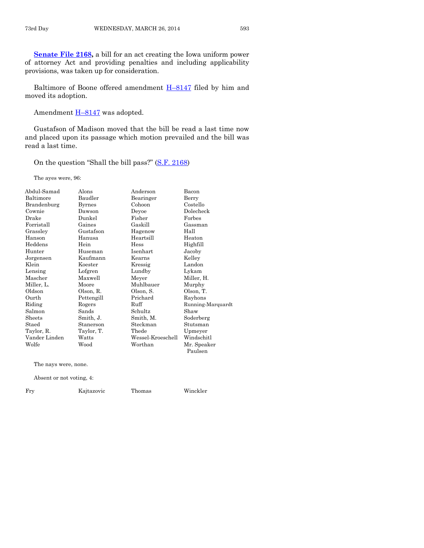[Senate File 2168,](http://coolice.legis.iowa.gov/Cool-ICE/default.asp?Category=billinfo&Service=Billbook&frame=1&GA=85&hbill=SF2168) a bill for an act creating the Iowa uniform power of attorney Act and providing penalties and including applicability provisions, was taken up for consideration.

Baltimore of Boone offered amendment **H-[8147](http://coolice.legis.iowa.gov/Cool-ICE/default.asp?Category=billinfo&Service=Billbook&frame=1&GA=85&hbill=H8147)** filed by him and moved its adoption.

Amendment  $H-8147$  $H-8147$  was adopted.

Gustafson of Madison moved that the bill be read a last time now and placed upon its passage which motion prevailed and the bill was read a last time.

On the question "Shall the bill pass?" ([S.F. 2168\)](http://coolice.legis.iowa.gov/Cool-ICE/default.asp?Category=billinfo&Service=Billbook&frame=1&GA=85&hbill=SF2168)

The ayes were, 96:

| Abdul-Samad          | Alons         | Anderson          | Bacon             |
|----------------------|---------------|-------------------|-------------------|
| Baltimore            | Baudler       | Bearinger         | Berry             |
| Brandenburg          | <b>Byrnes</b> | Cohoon            | Costello          |
| Cownie               | Dawson        | Deyoe             | Dolecheck         |
| Drake                | Dunkel        | Fisher            | Forbes            |
| Forristall           | Gaines        | Gaskill           | Gassman           |
| Grassley             | Gustafson     | Hagenow           | Hall              |
| Hanson               | Hanusa        | Heartsill         | Heaton            |
| Heddens              | Hein          | Hess              | Highfill          |
| Hunter               | Huseman       | Isenhart          | Jacoby            |
| Jorgensen            | Kaufmann      | Kearns            | Kelley            |
| Klein                | Koester       | Kressig           | Landon            |
| Lensing              | Lofgren       | Lundby            | Lykam             |
| Mascher              | Maxwell       | Meyer             | Miller, H.        |
| Miller, L.           | Moore         | Muhlbauer         | Murphy            |
| Oldson               | Olson, R.     | Olson, S.         | Olson, T.         |
| Ourth                | Pettengill    | Prichard          | Rayhons           |
| Riding               | Rogers        | Ruff              | Running-Marquardt |
| Salmon               | Sands         | Schultz           | Shaw              |
| Sheets               | Smith, J.     | Smith, M.         | Soderberg         |
| Staed                | Stanerson     | Steckman          | Stutsman          |
| Taylor, R.           | Taylor, T.    | Thede             | Upmeyer           |
| Vander Linden        | Watts         | Wessel-Kroeschell | Windschitl        |
| Wolfe                | Wood          | Worthan           | Mr. Speaker       |
|                      |               |                   | Paulsen           |
| The nays were, none. |               |                   |                   |

Absent or not voting, 4:

Fry Kajtazovic Thomas Winckler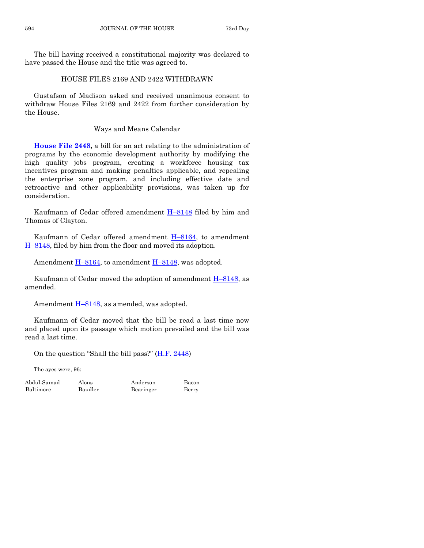The bill having received a constitutional majority was declared to have passed the House and the title was agreed to.

# HOUSE FILES 2169 AND 2422 WITHDRAWN

Gustafson of Madison asked and received unanimous consent to withdraw House Files 2169 and 2422 from further consideration by the House.

# Ways and Means Calendar

**[House File 2448,](http://coolice.legis.iowa.gov/Cool-ICE/default.asp?Category=billinfo&Service=Billbook&frame=1&GA=85&hbill=HF2448)** a bill for an act relating to the administration of programs by the economic development authority by modifying the high quality jobs program, creating a workforce housing tax incentives program and making penalties applicable, and repealing the enterprise zone program, and including effective date and retroactive and other applicability provisions, was taken up for consideration.

Kaufmann of Cedar offered amendment H–[8148](http://coolice.legis.iowa.gov/Cool-ICE/default.asp?Category=billinfo&Service=Billbook&frame=1&GA=85&hbill=H8148) filed by him and Thomas of Clayton.

Kaufmann of Cedar offered amendment H–[8164,](http://coolice.legis.iowa.gov/Cool-ICE/default.asp?Category=billinfo&Service=Billbook&frame=1&GA=85&hbill=H8164) to amendment H–[8148,](http://coolice.legis.iowa.gov/Cool-ICE/default.asp?Category=billinfo&Service=Billbook&frame=1&GA=85&hbill=H8148) filed by him from the floor and moved its adoption.

Amendment  $\underline{H-8164}$ , to amendment  $\underline{H-8148}$ , was adopted.

Kaufmann of Cedar moved the adoption of amendment H–[8148,](http://coolice.legis.iowa.gov/Cool-ICE/default.asp?Category=billinfo&Service=Billbook&frame=1&GA=85&hbill=H8148) as amended.

Amendment  $\underline{H-8148}$ , as amended, was adopted.

Kaufmann of Cedar moved that the bill be read a last time now and placed upon its passage which motion prevailed and the bill was read a last time.

On the question "Shall the bill pass?" ([H.F. 2448\)](http://coolice.legis.iowa.gov/Cool-ICE/default.asp?Category=billinfo&Service=Billbook&frame=1&GA=85&hbill=HF2448)

The ayes were, 96:

Abdul-Samad Alons Anderson Bacon Baltimore Baudler Bearinger Berry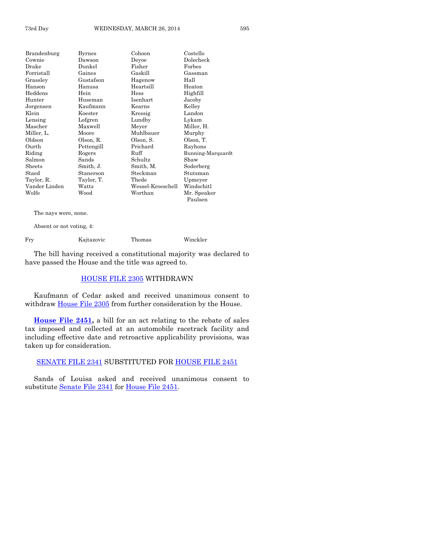| Brandenburg            | <b>Byrnes</b> | Cohoon            | Costello          |
|------------------------|---------------|-------------------|-------------------|
| Cownie                 | Dawson        | Deyoe             | Dolecheck         |
| Drake                  | Dunkel        | Fisher            | Forbes            |
| Forristall             | Gaines        | Gaskill           | Gassman           |
| Grasslev               | Gustafson     | Hagenow           | Hall              |
| Hanson                 | Hanusa        | Heartsill         | Heaton            |
| Heddens                | Hein          | Hess              | Highfill          |
| Hunter                 | Huseman       | Isenhart          | Jacoby            |
| Jorgensen              | Kaufmann      | Kearns            | Kelley            |
| Klein                  | Koester       | Kressig           | Landon            |
| Lensing                | Lofgren       | Lundby            | Lykam             |
| Mascher                | Maxwell       | Meyer             | Miller, H.        |
| Miller, L.             | Moore         | Muhlbauer         | Murphy            |
| Oldson                 | Olson, R.     | Olson, S.         | Olson, T.         |
| Ourth                  | Pettengill    | Prichard          | Rayhons           |
| Riding                 | Rogers        | Ruff              | Running-Marquardt |
| Salmon                 | Sands         | Schultz           | Shaw              |
| $\rm{Sheets}$          | Smith, J.     | Smith, M.         | Soderberg         |
| $\operatorname{Staed}$ | Stanerson     | Steckman          | Stutsman          |
| Taylor, R.             | Taylor, T.    | Thede             | Upmeyer           |
| Vander Linden          | Watts         | Wessel-Kroeschell | Windschitl        |
| Wolfe                  | Wood          | Worthan           | Mr. Speaker       |
|                        |               |                   | Paulsen           |

The nays were, none.

Absent or not voting, 4:

Fry Kajtazovic Thomas Winckler

The bill having received a constitutional majority was declared to have passed the House and the title was agreed to.

# [HOUSE FILE 2305](http://coolice.legis.iowa.gov/Cool-ICE/default.asp?Category=billinfo&Service=Billbook&frame=1&GA=85&hbill=HF2305) WITHDRAWN

Kaufmann of Cedar asked and received unanimous consent to withdraw [House File 2305](http://coolice.legis.iowa.gov/Cool-ICE/default.asp?Category=billinfo&Service=Billbook&frame=1&GA=85&hbill=HF2305) from further consideration by the House.

**[House File 2451,](http://coolice.legis.iowa.gov/Cool-ICE/default.asp?Category=billinfo&Service=Billbook&frame=1&GA=85&hbill=HF2451)** a bill for an act relating to the rebate of sales tax imposed and collected at an automobile racetrack facility and including effective date and retroactive applicability provisions, was taken up for consideration.

## [SENATE FILE 2341](http://coolice.legis.iowa.gov/Cool-ICE/default.asp?Category=billinfo&Service=Billbook&frame=1&GA=85&hbill=SF2341) SUBSTITUTED FOR [HOUSE FILE 2451](http://coolice.legis.iowa.gov/Cool-ICE/default.asp?Category=billinfo&Service=Billbook&frame=1&GA=85&hbill=HF2451)

Sands of Louisa asked and received unanimous consent to substitute [Senate File 2341](http://coolice.legis.iowa.gov/Cool-ICE/default.asp?Category=billinfo&Service=Billbook&frame=1&GA=85&hbill=SF2341) for [House File 2451.](http://coolice.legis.iowa.gov/Cool-ICE/default.asp?Category=billinfo&Service=Billbook&frame=1&GA=85&hbill=HF2451)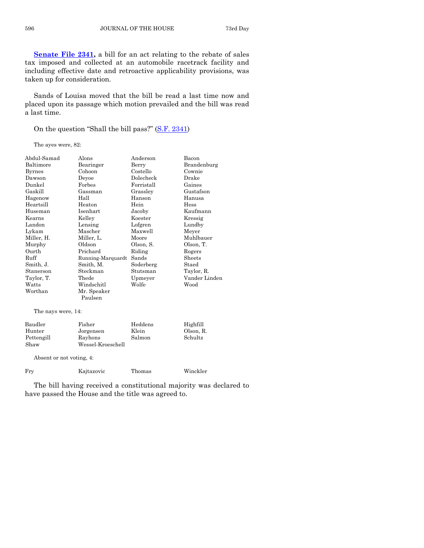**[Senate File 2341,](http://coolice.legis.iowa.gov/Cool-ICE/default.asp?Category=billinfo&Service=Billbook&frame=1&GA=85&hbill=SF2341)** a bill for an act relating to the rebate of sales tax imposed and collected at an automobile racetrack facility and including effective date and retroactive applicability provisions, was taken up for consideration.

Sands of Louisa moved that the bill be read a last time now and placed upon its passage which motion prevailed and the bill was read a last time.

On the question "Shall the bill pass?" ([S.F. 2341\)](http://coolice.legis.iowa.gov/Cool-ICE/default.asp?Category=billinfo&Service=Billbook&frame=1&GA=85&hbill=SF2341)

The ayes were, 82:

| Abdul-Samad        | Alons             | Anderson   | Bacon         |  |
|--------------------|-------------------|------------|---------------|--|
| Baltimore          | Bearinger         | Berry      | Brandenburg   |  |
| <b>Byrnes</b>      | Cohoon            | Costello   | Cownie        |  |
| Dawson             | Deyoe             | Dolecheck  | Drake         |  |
| Dunkel             | Forbes            | Forristall | Gaines        |  |
| Gaskill            | Gassman           | Grassley   | Gustafson     |  |
| Hagenow            | Hall              | Hanson     | Hanusa        |  |
| Heartsill          | Heaton            | Hein       | Hess          |  |
| Huseman            | Isenhart          | Jacoby     | Kaufmann      |  |
| Kearns             | Kelley            | Koester    | Kressig       |  |
| Landon             | Lensing           | Lofgren    | Lundby        |  |
| Lykam              | Mascher           | Maxwell    | Meyer         |  |
| Miller, H.         | Miller, L.        | Moore      | Muhlbauer     |  |
| Murphy             | Oldson            | Olson, S.  | Olson, T.     |  |
| Ourth              | Prichard          | Riding     | Rogers        |  |
| Ruff               | Running-Marquardt | Sands      | Sheets        |  |
| Smith, J.          | Smith, M.         | Soderberg  | Staed         |  |
| Stanerson          | Steckman          | Stutsman   | Taylor, R.    |  |
| Taylor, T.         | Thede             | Upmeyer    | Vander Linden |  |
| Watts              | Windschitl        | Wolfe      | Wood          |  |
| Worthan            | Mr. Speaker       |            |               |  |
|                    | Paulsen           |            |               |  |
| The nays were, 14: |                   |            |               |  |

| Baudler    | Fisher            | Heddens | Highfill  |
|------------|-------------------|---------|-----------|
| Hunter     | Jorgensen         | Klein   | Olson, R. |
| Pettengill | Rayhons           | Salmon  | Schultz   |
| Shaw       | Wessel-Kroeschell |         |           |

Absent or not voting, 4:

| Frv | Kajtazovic | Thomas | Winckler |
|-----|------------|--------|----------|
|     |            |        |          |

The bill having received a constitutional majority was declared to have passed the House and the title was agreed to.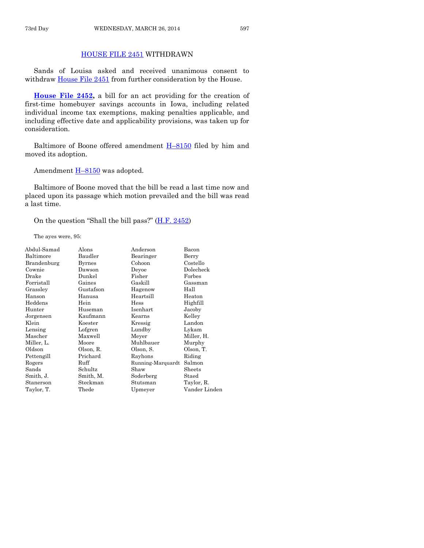## [HOUSE FILE 2451](http://coolice.legis.iowa.gov/Cool-ICE/default.asp?Category=billinfo&Service=Billbook&frame=1&GA=85&hbill=HF2451) WITHDRAWN

Sands of Louisa asked and received unanimous consent to withdraw [House File 2451](http://coolice.legis.iowa.gov/Cool-ICE/default.asp?Category=billinfo&Service=Billbook&frame=1&GA=85&hbill=HF2451) from further consideration by the House.

**[House File 2452,](http://coolice.legis.iowa.gov/Cool-ICE/default.asp?Category=billinfo&Service=Billbook&frame=1&GA=85&hbill=HF2452)** a bill for an act providing for the creation of first-time homebuyer savings accounts in Iowa, including related individual income tax exemptions, making penalties applicable, and including effective date and applicability provisions, was taken up for consideration.

Baltimore of Boone offered amendment H–[8150](http://coolice.legis.iowa.gov/Cool-ICE/default.asp?Category=billinfo&Service=Billbook&frame=1&GA=85&hbill=H8150) filed by him and moved its adoption.

Amendment **H-[8150](http://coolice.legis.iowa.gov/Cool-ICE/default.asp?Category=billinfo&Service=Billbook&frame=1&GA=85&hbill=H8150)** was adopted.

Baltimore of Boone moved that the bill be read a last time now and placed upon its passage which motion prevailed and the bill was read a last time.

On the question "Shall the bill pass?" ([H.F. 2452\)](http://coolice.legis.iowa.gov/Cool-ICE/default.asp?Category=billinfo&Service=Billbook&frame=1&GA=85&hbill=HF2452)

The ayes were, 95:

| Abdul-Samad | Alons         | Anderson          | Bacon         |
|-------------|---------------|-------------------|---------------|
| Baltimore   | Baudler       | Bearinger         | Berry         |
| Brandenburg | <b>Byrnes</b> | Cohoon            | Costello      |
| Cownie      | Dawson        | Deyoe             | Dolecheck     |
| Drake       | Dunkel        | Fisher            | Forbes        |
| Forristall  | Gaines        | Gaskill           | Gassman       |
| Grassley    | Gustafson     | Hagenow           | Hall          |
| Hanson      | Hanusa        | Heartsill         | Heaton        |
| Heddens     | Hein          | Hess              | Highfill      |
| Hunter      | Huseman       | Isenhart          | Jacoby        |
| Jorgensen   | Kaufmann      | Kearns            | Kelley        |
| Klein       | Koester       | Kressig           | Landon        |
| Lensing     | Lofgren       | Lundby            | Lykam         |
| Mascher     | Maxwell       | Meyer             | Miller, H.    |
| Miller, L.  | Moore         | Muhlbauer         | Murphy        |
| Oldson      | Olson, R.     | Olson, S.         | Olson, T.     |
| Pettengill  | Prichard      | Rayhons           | Riding        |
| Rogers      | Ruff          | Running-Marquardt | Salmon        |
| Sands       | Schultz       | Shaw              | Sheets        |
| Smith, J.   | Smith, M.     | Soderberg         | Staed         |
| Stanerson   | Steckman      | Stutsman          | Taylor, R.    |
| Taylor, T.  | Thede         | Upmeyer           | Vander Linden |
|             |               |                   |               |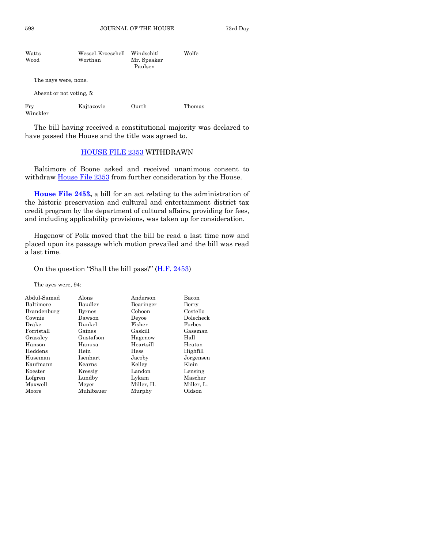598 JOURNAL OF THE HOUSE 73rd Day

| Watts<br>Wood | Wessel-Kroeschell<br>Worthan | Windschitl<br>Mr. Speaker<br>Paulsen | Wolfe |
|---------------|------------------------------|--------------------------------------|-------|
|               | The nays were, none.         |                                      |       |
|               | Absent or not voting, 5:     |                                      |       |

| Fry | Kajtazovic | Ourth | Thomas |
|-----|------------|-------|--------|
|     |            |       |        |

Winckler

The bill having received a constitutional majority was declared to have passed the House and the title was agreed to.

# [HOUSE FILE 2353](http://coolice.legis.iowa.gov/Cool-ICE/default.asp?Category=billinfo&Service=Billbook&frame=1&GA=85&hbill=HF2353) WITHDRAWN

Baltimore of Boone asked and received unanimous consent to withdraw **House File 2353** from further consideration by the House.

**[House File 2453,](http://coolice.legis.iowa.gov/Cool-ICE/default.asp?Category=billinfo&Service=Billbook&frame=1&GA=85&hbill=HF2453)** a bill for an act relating to the administration of the historic preservation and cultural and entertainment district tax credit program by the department of cultural affairs, providing for fees, and including applicability provisions, was taken up for consideration.

Hagenow of Polk moved that the bill be read a last time now and placed upon its passage which motion prevailed and the bill was read a last time.

#### On the question "Shall the bill pass?"  $(H.F. 2453)$  $(H.F. 2453)$

The ayes were, 94:

| Abdul-Samad | Alons         | Anderson   | Bacon      |
|-------------|---------------|------------|------------|
| Baltimore   | Baudler       | Bearinger  | Berry      |
| Brandenburg | <b>Byrnes</b> | Cohoon     | Costello   |
| Cownie      | Dawson        | Devoe      | Dolecheck  |
| Drake       | Dunkel        | Fisher     | Forbes     |
| Forristall  | Gaines        | Gaskill    | Gassman    |
| Grassley    | Gustafson     | Hagenow    | Hall       |
| Hanson      | Hanusa        | Heartsill  | Heaton     |
| Heddens     | Hein          | Hess       | Highfill   |
| Huseman     | Isenhart      | Jacoby     | Jorgensen  |
| Kaufmann    | Kearns        | Kelley     | Klein      |
| Koester     | Kressig       | Landon     | Lensing    |
| Lofgren     | Lundby        | Lykam      | Mascher    |
| Maxwell     | Meyer         | Miller, H. | Miller, L. |
| Moore       | Muhlbauer     | Murphy     | Oldson     |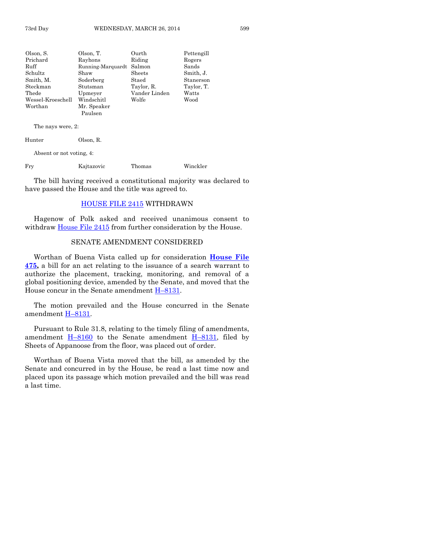| Olson, S.                | Olson, T.<br>Ourth       |        | Pettengill |
|--------------------------|--------------------------|--------|------------|
| Prichard                 | Rayhons                  | Riding | Rogers     |
| Ruff                     | Running-Marquardt        | Salmon | Sands      |
| Schultz                  | Sheets<br>Shaw           |        | Smith, J.  |
| Smith, M.                | Soderberg<br>Staed       |        | Stanerson  |
| Steckman                 | Taylor, R.<br>Stutsman   |        | Taylor, T. |
| Thede                    | Vander Linden<br>Upmeyer |        | Watts      |
| Wessel-Kroeschell        | Windschitl<br>Wolfe      |        | Wood       |
| Worthan                  | Mr. Speaker              |        |            |
|                          | Paulsen                  |        |            |
| The nays were, 2:        |                          |        |            |
| Hunter                   | Olson, R.                |        |            |
| Absent or not voting, 4: |                          |        |            |
| Frv                      | Kajtazovic               | Thomas | Winckler   |

The bill having received a constitutional majority was declared to have passed the House and the title was agreed to.

#### [HOUSE FILE 2415](http://coolice.legis.iowa.gov/Cool-ICE/default.asp?Category=billinfo&Service=Billbook&frame=1&GA=85&hbill=HF2415) WITHDRAWN

Hagenow of Polk asked and received unanimous consent to withdraw **House File 2415** from further consideration by the House.

#### SENATE AMENDMENT CONSIDERED

Worthan of Buena Vista called up for consideration **[House File](http://coolice.legis.iowa.gov/Cool-ICE/default.asp?Category=billinfo&Service=Billbook&frame=1&GA=85&hbill=HF475)  [475,](http://coolice.legis.iowa.gov/Cool-ICE/default.asp?Category=billinfo&Service=Billbook&frame=1&GA=85&hbill=HF475)** a bill for an act relating to the issuance of a search warrant to authorize the placement, tracking, monitoring, and removal of a global positioning device, amended by the Senate, and moved that the House concur in the Senate amendment H–[8131.](http://coolice.legis.iowa.gov/Cool-ICE/default.asp?Category=billinfo&Service=Billbook&frame=1&GA=85&hbill=H8131)

The motion prevailed and the House concurred in the Senate amendment H–[8131.](http://coolice.legis.iowa.gov/Cool-ICE/default.asp?Category=billinfo&Service=Billbook&frame=1&GA=85&hbill=H8131)

Pursuant to Rule 31.8, relating to the timely filing of amendments, amendment  $H-8160$  $H-8160$  to the Senate amendment  $H-8131$ , filed by Sheets of Appanoose from the floor, was placed out of order.

Worthan of Buena Vista moved that the bill, as amended by the Senate and concurred in by the House, be read a last time now and placed upon its passage which motion prevailed and the bill was read a last time.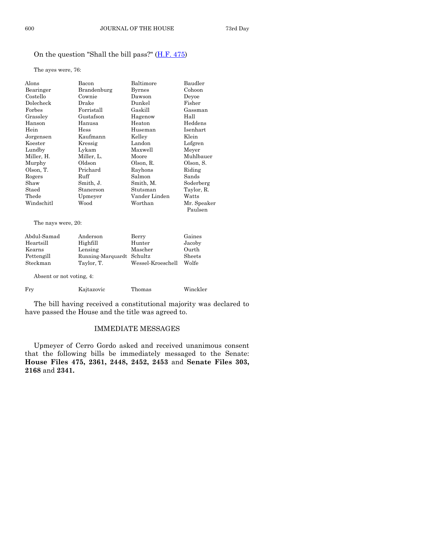# On the question "Shall the bill pass?" [\(H.F. 475\)](http://coolice.legis.iowa.gov/Cool-ICE/default.asp?Category=billinfo&Service=Billbook&frame=1&GA=85&hbill=HF475)

The ayes were, 76:

| Alons      | Bacon            | Baltimore     | Baudler     |
|------------|------------------|---------------|-------------|
| Bearinger  | Brandenburg      | Byrnes        | Cohoon      |
| Costello   | Cownie           | Dawson        | Devoe       |
| Dolecheck  | Drake            | Dunkel        | Fisher      |
| Forbes     | $\rm Forristall$ | Gaskill       | Gassman     |
| Grassley   | Gustafson        | Hagenow       | Hall        |
| Hanson     | Hanusa           | Heaton        | Heddens     |
| Hein       | Hess             | Huseman       | Isenhart    |
| Jorgensen  | Kaufmann         | Kelley        | Klein       |
| Koester    | Kressig          | Landon        | Lofgren     |
| Lundby     | Lykam            | Maxwell       | Meyer       |
| Miller, H. | Miller, L.       | Moore         | Muhlbauer   |
| Murphy     | Oldson           | Olson, R.     | Olson, S.   |
| Olson, T.  | Prichard         | Rayhons       | Riding      |
| Rogers     | Ruff             | Salmon        | Sands       |
| Shaw       | Smith, J.        | Smith, M.     | Soderberg   |
| Staed      | Stanerson        | Stutsman      | Taylor, R.  |
| Thede      | Upmeyer          | Vander Linden | Watts       |
| Windschitl | Wood             | Worthan       | Mr. Speaker |
|            |                  |               | Paulsen     |

The nays were, 20:

| Abdul-Samad              | Anderson                  | Berry             | Gaines |
|--------------------------|---------------------------|-------------------|--------|
| Heartsill                | Highfill                  | Hunter            | Jacoby |
| Kearns                   | Lensing                   | Mascher           | Ourth  |
| Pettengill               | Running-Marquardt Schultz |                   | Sheets |
| Steckman                 | Taylor, T.                | Wessel-Kroeschell | Wolfe  |
| Absent or not voting, 4: |                           |                   |        |

| Frv | Kajtazovic | Thomas | Winckler |
|-----|------------|--------|----------|

The bill having received a constitutional majority was declared to have passed the House and the title was agreed to.

#### IMMEDIATE MESSAGES

Upmeyer of Cerro Gordo asked and received unanimous consent that the following bills be immediately messaged to the Senate: **House Files 475, 2361, 2448, 2452, 2453** and **Senate Files 303, 2168** and **2341.**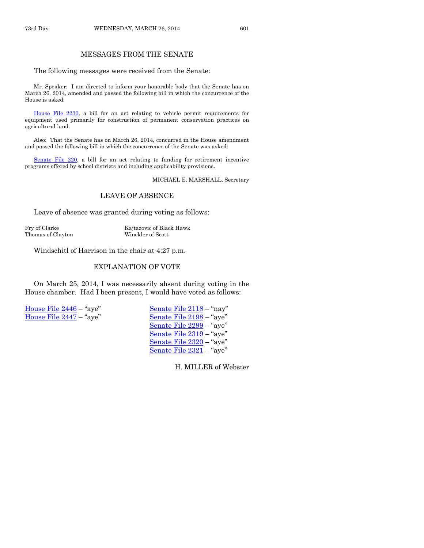### MESSAGES FROM THE SENATE

The following messages were received from the Senate:

Mr. Speaker: I am directed to inform your honorable body that the Senate has on March 26, 2014, amended and passed the following bill in which the concurrence of the House is asked:

[House File 2230,](http://coolice.legis.iowa.gov/Cool-ICE/default.asp?Category=billinfo&Service=Billbook&frame=1&GA=85&hbill=HF2230) a bill for an act relating to vehicle permit requirements for equipment used primarily for construction of permanent conservation practices on agricultural land.

Also: That the Senate has on March 26, 2014, concurred in the House amendment and passed the following bill in which the concurrence of the Senate was asked:

[Senate File 220,](http://coolice.legis.iowa.gov/Cool-ICE/default.asp?Category=billinfo&Service=Billbook&frame=1&GA=85&hbill=SF220) a bill for an act relating to funding for retirement incentive programs offered by school districts and including applicability provisions.

MICHAEL E. MARSHALL, Secretary

#### LEAVE OF ABSENCE

Leave of absence was granted during voting as follows:

Fry of Clarke Kajtazovic of Black Hawk Thomas of Clayton Winckler of Scott

Windschitl of Harrison in the chair at 4:27 p.m.

# EXPLANATION OF VOTE

On March 25, 2014, I was necessarily absent during voting in the House chamber. Had I been present, I would have voted as follows:

[House File 2446](http://coolice.legis.iowa.gov/Cool-ICE/default.asp?Category=billinfo&Service=Billbook&frame=1&GA=85&hbill=HF2446) – "aye" [Senate File 2118](http://coolice.legis.iowa.gov/Cool-ICE/default.asp?Category=billinfo&Service=Billbook&frame=1&GA=85&hbill=SF2118) – "nay" [House File 2447](http://coolice.legis.iowa.gov/Cool-ICE/default.asp?Category=billinfo&Service=Billbook&frame=1&GA=85&hbill=HF2447) – "aye" [Senate File 2198](http://coolice.legis.iowa.gov/Cool-ICE/default.asp?Category=billinfo&Service=Billbook&frame=1&GA=85&hbill=SF2198) – "aye"

[Senate File 2299](http://coolice.legis.iowa.gov/Cool-ICE/default.asp?Category=billinfo&Service=Billbook&frame=1&GA=85&hbill=SF2299) – "aye" [Senate File 2319](http://coolice.legis.iowa.gov/Cool-ICE/default.asp?Category=billinfo&Service=Billbook&frame=1&GA=85&hbill=SF2319) – "aye" [Senate File 2320](http://coolice.legis.iowa.gov/Cool-ICE/default.asp?Category=billinfo&Service=Billbook&frame=1&GA=85&hbill=SF2320) – "aye" [Senate File 2321](http://coolice.legis.iowa.gov/Cool-ICE/default.asp?Category=billinfo&Service=Billbook&frame=1&GA=85&hbill=SF2321) – "aye"

H. MILLER of Webster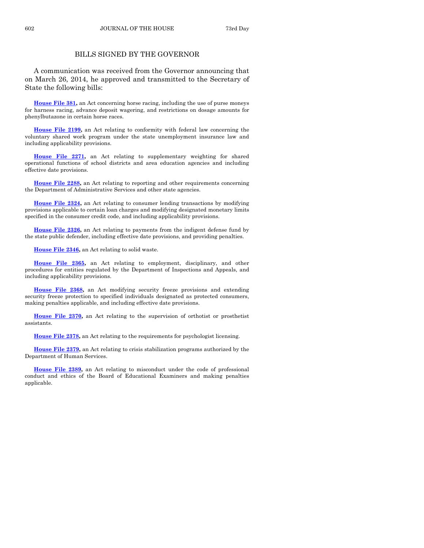## BILLS SIGNED BY THE GOVERNOR

A communication was received from the Governor announcing that on March 26, 2014, he approved and transmitted to the Secretary of State the following bills:

**[House File 381,](http://coolice.legis.iowa.gov/Cool-ICE/default.asp?Category=billinfo&Service=Billbook&frame=1&GA=85&hbill=HF381)** an Act concerning horse racing, including the use of purse moneys for harness racing, advance deposit wagering, and restrictions on dosage amounts for phenylbutazone in certain horse races.

**[House File 2199,](http://coolice.legis.iowa.gov/Cool-ICE/default.asp?Category=billinfo&Service=Billbook&frame=1&GA=85&hbill=HF2199)** an Act relating to conformity with federal law concerning the voluntary shared work program under the state unemployment insurance law and including applicability provisions.

**[House File 2271,](http://coolice.legis.iowa.gov/Cool-ICE/default.asp?Category=billinfo&Service=Billbook&frame=1&GA=85&hbill=HF2271)** an Act relating to supplementary weighting for shared operational functions of school districts and area education agencies and including effective date provisions.

**[House File 2288,](http://coolice.legis.iowa.gov/Cool-ICE/default.asp?Category=billinfo&Service=Billbook&frame=1&GA=85&hbill=HF2288)** an Act relating to reporting and other requirements concerning the Department of Administrative Services and other state agencies.

**[House File 2324,](http://coolice.legis.iowa.gov/Cool-ICE/default.asp?Category=billinfo&Service=Billbook&frame=1&GA=85&hbill=HF2324)** an Act relating to consumer lending transactions by modifying provisions applicable to certain loan charges and modifying designated monetary limits specified in the consumer credit code, and including applicability provisions.

**[House File 2326,](http://coolice.legis.iowa.gov/Cool-ICE/default.asp?Category=billinfo&Service=Billbook&frame=1&GA=85&hbill=HF2326)** an Act relating to payments from the indigent defense fund by the state public defender, including effective date provisions, and providing penalties.

**[House File 2346,](http://coolice.legis.iowa.gov/Cool-ICE/default.asp?Category=billinfo&Service=Billbook&frame=1&GA=85&hbill=HF2346)** an Act relating to solid waste.

**[House File 2365,](http://coolice.legis.iowa.gov/Cool-ICE/default.asp?Category=billinfo&Service=Billbook&frame=1&GA=85&hbill=HF2365)** an Act relating to employment, disciplinary, and other procedures for entities regulated by the Department of Inspections and Appeals, and including applicability provisions.

**[House File 2368,](http://coolice.legis.iowa.gov/Cool-ICE/default.asp?Category=billinfo&Service=Billbook&frame=1&GA=85&hbill=HF2368)** an Act modifying security freeze provisions and extending security freeze protection to specified individuals designated as protected consumers, making penalties applicable, and including effective date provisions.

**[House File 2370,](http://coolice.legis.iowa.gov/Cool-ICE/default.asp?Category=billinfo&Service=Billbook&frame=1&GA=85&hbill=HF2370)** an Act relating to the supervision of orthotist or prosthetist assistants.

**[House File 2378,](http://coolice.legis.iowa.gov/Cool-ICE/default.asp?Category=billinfo&Service=Billbook&frame=1&GA=85&hbill=HF2378)** an Act relating to the requirements for psychologist licensing.

**[House File 2379,](http://coolice.legis.iowa.gov/Cool-ICE/default.asp?Category=billinfo&Service=Billbook&frame=1&GA=85&hbill=HF2379)** an Act relating to crisis stabilization programs authorized by the Department of Human Services.

**[House File 2389,](http://coolice.legis.iowa.gov/Cool-ICE/default.asp?Category=billinfo&Service=Billbook&frame=1&GA=85&hbill=HF2389)** an Act relating to misconduct under the code of professional conduct and ethics of the Board of Educational Examiners and making penalties applicable.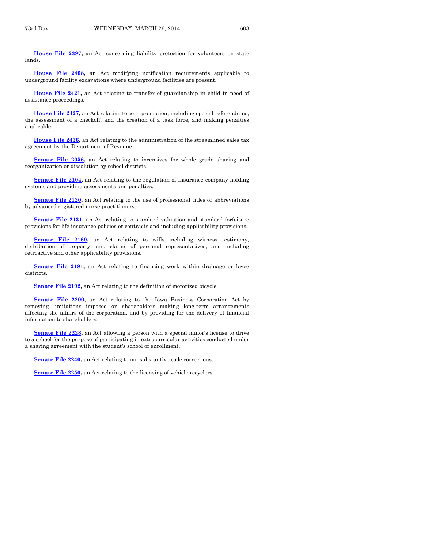**[House File 2397,](http://coolice.legis.iowa.gov/Cool-ICE/default.asp?Category=billinfo&Service=Billbook&frame=1&GA=85&hbill=HF2397)** an Act concerning liability protection for volunteers on state lands.

**[House File 2408,](http://coolice.legis.iowa.gov/Cool-ICE/default.asp?Category=billinfo&Service=Billbook&frame=1&GA=85&hbill=HF2408)** an Act modifying notification requirements applicable to underground facility excavations where underground facilities are present.

**[House File 2421,](http://coolice.legis.iowa.gov/Cool-ICE/default.asp?Category=billinfo&Service=Billbook&frame=1&GA=85&hbill=HF2421)** an Act relating to transfer of guardianship in child in need of assistance proceedings.

**[House File 2427,](http://coolice.legis.iowa.gov/Cool-ICE/default.asp?Category=billinfo&Service=Billbook&frame=1&GA=85&hbill=HF2427)** an Act relating to corn promotion, including special referendums, the assessment of a checkoff, and the creation of a task force, and making penalties applicable.

**[House File 2436,](http://coolice.legis.iowa.gov/Cool-ICE/default.asp?Category=billinfo&Service=Billbook&frame=1&GA=85&hbill=HF2436)** an Act relating to the administration of the streamlined sales tax agreement by the Department of Revenue.

[Senate File 2056,](http://coolice.legis.iowa.gov/Cool-ICE/default.asp?Category=billinfo&Service=Billbook&frame=1&GA=85&hbill=SF2056) an Act relating to incentives for whole grade sharing and reorganization or dissolution by school districts.

**[Senate File 2104,](http://coolice.legis.iowa.gov/Cool-ICE/default.asp?Category=billinfo&Service=Billbook&frame=1&GA=85&hbill=SF2104)** an Act relating to the regulation of insurance company holding systems and providing assessments and penalties.

**[Senate File 2120,](http://coolice.legis.iowa.gov/Cool-ICE/default.asp?Category=billinfo&Service=Billbook&frame=1&GA=85&hbill=SF2120)** an Act relating to the use of professional titles or abbreviations by advanced registered nurse practitioners.

**[Senate File 2131,](http://coolice.legis.iowa.gov/Cool-ICE/default.asp?Category=billinfo&Service=Billbook&frame=1&GA=85&hbill=SF2131)** an Act relating to standard valuation and standard forfeiture provisions for life insurance policies or contracts and including applicability provisions.

**[Senate File 2169,](http://coolice.legis.iowa.gov/Cool-ICE/default.asp?Category=billinfo&Service=Billbook&frame=1&GA=85&hbill=SF2169)** an Act relating to wills including witness testimony, distribution of property, and claims of personal representatives, and including retroactive and other applicability provisions.

**[Senate File 2191,](http://coolice.legis.iowa.gov/Cool-ICE/default.asp?Category=billinfo&Service=Billbook&frame=1&GA=85&hbill=SF2191)** an Act relating to financing work within drainage or levee districts.

**[Senate File 2192,](http://coolice.legis.iowa.gov/Cool-ICE/default.asp?Category=billinfo&Service=Billbook&frame=1&GA=85&hbill=SF2192)** an Act relating to the definition of motorized bicycle.

**[Senate File 2200,](http://coolice.legis.iowa.gov/Cool-ICE/default.asp?Category=billinfo&Service=Billbook&frame=1&GA=85&hbill=SF2200)** an Act relating to the Iowa Business Corporation Act by removing limitations imposed on shareholders making long-term arrangements affecting the affairs of the corporation, and by providing for the delivery of financial information to shareholders.

**[Senate File 2228,](http://coolice.legis.iowa.gov/Cool-ICE/default.asp?Category=billinfo&Service=Billbook&frame=1&GA=85&hbill=SF2228)** an Act allowing a person with a special minor's license to drive to a school for the purpose of participating in extracurricular activities conducted under a sharing agreement with the student's school of enrollment.

**Senate File 2240**, an Act relating to nonsubstantive code corrections.

**[Senate File 2250,](http://coolice.legis.iowa.gov/Cool-ICE/default.asp?Category=billinfo&Service=Billbook&frame=1&GA=85&hbill=SF2250)** an Act relating to the licensing of vehicle recyclers.